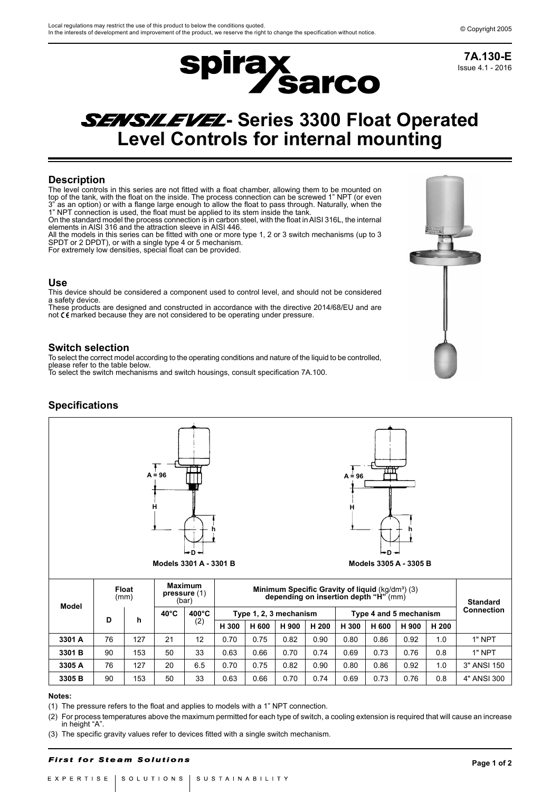

Issue 4.1 - 2016 **7A.130-E**

# **SENSILEVEL- Series 3300 Float Operated Level Controls for internal mounting**

## **Description**

The level controls in this series are not fitted with a float chamber, allowing them to be mounted on top of the tank, with the float on the inside. The process connection can be screwed 1" NPT (or even<br>3" as an ontion) or with a flange large enough to allow the float to pass through. Naturally when the as an option) or with a flange large enough to allow the float to pass through. Naturally, when the 1" NPT connection is used, the float must be applied to its stem inside the tank. On the standard model the process connection is in carbon steel, with the float inAISI 316L, the internal

elements in AISI 316 and the attraction sleeve in AISI 446. All the models in this series can be fitted with one or more type 1, 2 or 3 switch mechanisms (up to 3

SPDT or 2 DPDT), or with a single type 4 or 5 mechanism. For extremely low densities, special float can be provided.

### **Use**

This device should be considered a component used to control level, and should not be considered a safety device.

These products are designed and constructed in accordance with the directive 2014/68/EU and are<br>not C Emarked because they are not considered to be operating under pressure.

### **Switch selection**

To select the correct model according to the operating conditions and nature of the liquid to be controlled, please refer to the table below. To select the switch mechanisms and switch housings, consult specification 7A.100.

**Specifications**



| Model  | гюат<br>(mm) |     | pressure (1)<br>(bar) |                 | <b>MINIMUM Specific Gravity of Ilguid</b> (Kg/dm*) (3)<br>depending on insertion depth "H" (mm) |       |       |       |                        |       |       |       | <b>Standard</b>   |
|--------|--------------|-----|-----------------------|-----------------|-------------------------------------------------------------------------------------------------|-------|-------|-------|------------------------|-------|-------|-------|-------------------|
|        | D            | h   | $40^{\circ}$ C        | $400^{\circ}$ C | Type 1, 2, 3 mechanism                                                                          |       |       |       | Type 4 and 5 mechanism |       |       |       | <b>Connection</b> |
|        |              |     |                       | (2)             | H 300                                                                                           | H 600 | H 900 | H 200 | H 300                  | H 600 | H 900 | H 200 |                   |
| 3301 A | 76           | 127 | 21                    | 12              | 0.70                                                                                            | 0.75  | 0.82  | 0.90  | 0.80                   | 0.86  | 0.92  | 1.0   | 1" NPT            |
| 3301 B | 90           | 153 | 50                    | 33              | 0.63                                                                                            | 0.66  | 0.70  | 0.74  | 0.69                   | 0.73  | 0.76  | 0.8   | 1" NPT            |
| 3305 A | 76           | 127 | 20                    | 6.5             | 0.70                                                                                            | 0.75  | 0.82  | 0.90  | 0.80                   | 0.86  | 0.92  | 1.0   | 3" ANSI 150       |
| 3305 B | 90           | 153 | 50                    | 33              | 0.63                                                                                            | 0.66  | 0.70  | 0.74  | 0.69                   | 0.73  | 0.76  | 0.8   | 4" ANSI 300       |

#### **Notes:**

(1) The pressure refers to the float and applies to models with a 1" NPT connection.

(2) For process temperatures above the maximum permitted for each type of switch, a cooling extension is required that will cause an increase in height "A".

(3) The specific gravity values refer to devices fitted with a single switch mechanism.